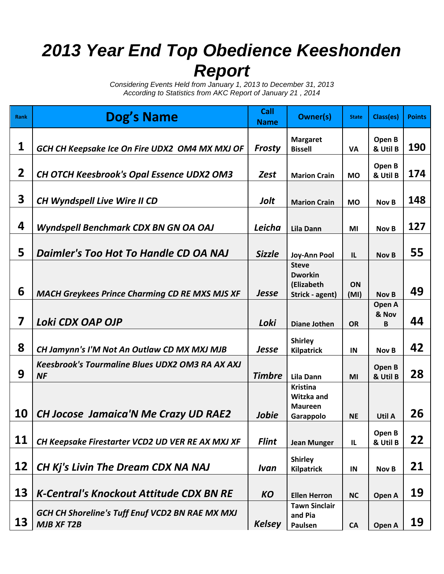## *2013 Year End Top Obedience Keeshonden Report*

*Considering Events Held from January 1, 2013 to December 31, 2013 According to Statistics from AKC Report of January 21 , 2014*

| <b>Rank</b> | Dog's Name                                                                  | Call<br><b>Name</b> | <b>Owner(s)</b>                                                 | <b>State</b> | Class(es)            | <b>Points</b> |
|-------------|-----------------------------------------------------------------------------|---------------------|-----------------------------------------------------------------|--------------|----------------------|---------------|
| 1           | GCH CH Keepsake Ice On Fire UDX2 OM4 MX MXJ OF                              | Frosty              | <b>Margaret</b><br><b>Bissell</b>                               | <b>VA</b>    | Open B<br>& Util B   | <b>190</b>    |
| 2           | <b>CH OTCH Keesbrook's Opal Essence UDX2 OM3</b>                            | <b>Zest</b>         | <b>Marion Crain</b>                                             | <b>MO</b>    | Open B<br>& Util B   | 174           |
| 3           | CH Wyndspell Live Wire II CD                                                | Jolt                | <b>Marion Crain</b>                                             | <b>MO</b>    | Nov B                | 148           |
| 4           | Wyndspell Benchmark CDX BN GN OA OAJ                                        | Leicha              | <b>Lila Dann</b>                                                | MI           | Nov B                | 127           |
| 5           | Daimler's Too Hot To Handle CD OA NAJ                                       | <b>Sizzle</b>       | <b>Joy-Ann Pool</b>                                             | IL           | <b>Nov B</b>         | 55            |
| 6           | <b>MACH Greykees Prince Charming CD RE MXS MJS XF</b>                       | <b>Jesse</b>        | <b>Steve</b><br><b>Dworkin</b><br>(Elizabeth<br>Strick - agent) | ON<br>(MI)   | <b>Nov B</b>         | 49            |
| 7           | Loki CDX OAP OJP                                                            | Loki                | <b>Diane Jothen</b>                                             | <b>OR</b>    | Open A<br>& Nov<br>B | 44            |
| 8           | CH Jamynn's I'M Not An Outlaw CD MX MXJ MJB                                 | <b>Jesse</b>        | <b>Shirley</b><br><b>Kilpatrick</b>                             | IN           | Nov B                | 42            |
| 9           | <b>Keesbrook's Tourmaline Blues UDX2 OM3 RA AX AXJ</b><br>NF                | <b>Timbre</b>       | <b>Lila Dann</b>                                                | MI           | Open B<br>& Util B   | 28            |
| <b>10</b>   | <b>CH Jocose Jamaica'N Me Crazy UD RAE2</b>                                 | Jobie               | <b>Kristina</b><br>Witzka and<br><b>Maureen</b><br>Garappolo    | <b>NE</b>    | Util A               | 26            |
| 11          | CH Keepsake Firestarter VCD2 UD VER RE AX MXJ XF                            | <b>Flint</b>        | <b>Jean Munger</b>                                              | $\mathbf{L}$ | Open B<br>& Util B   | 22            |
| 12          | CH Kj's Livin The Dream CDX NA NAJ                                          | Ivan                | <b>Shirley</b><br><b>Kilpatrick</b>                             | IN           | Nov B                | 21            |
| 13          | <b>K-Central's Knockout Attitude CDX BN RE</b>                              | <b>KO</b>           | <b>Ellen Herron</b>                                             | <b>NC</b>    | Open A               | 19            |
| 13          | <b>GCH CH Shoreline's Tuff Enuf VCD2 BN RAE MX MXJ</b><br><b>MJB XF T2B</b> | <b>Kelsey</b>       | <b>Tawn Sinclair</b><br>and Pia<br>Paulsen                      | CA           | Open A               | 19            |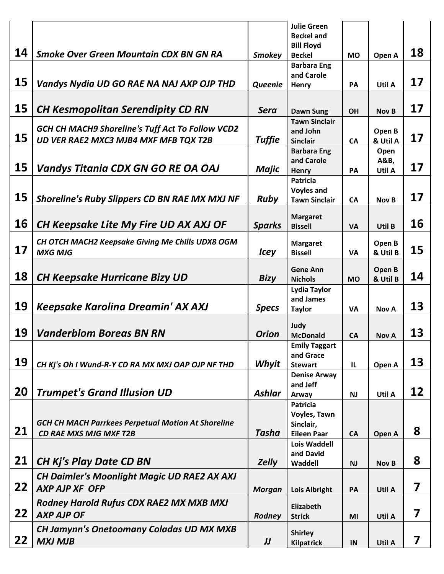|           |                                                           |               | <b>Julie Green</b><br><b>Beckel and</b><br><b>Bill Floyd</b> |           |                    |    |
|-----------|-----------------------------------------------------------|---------------|--------------------------------------------------------------|-----------|--------------------|----|
| 14        | <b>Smoke Over Green Mountain CDX BN GN RA</b>             | <b>Smokey</b> | <b>Beckel</b>                                                | <b>MO</b> | Open A             | 18 |
|           |                                                           |               | <b>Barbara Eng</b>                                           |           |                    |    |
| 15        | Vandys Nydia UD GO RAE NA NAJ AXP OJP THD                 | Queenie       | and Carole<br>Henry                                          | PA        | Util A             | 17 |
|           |                                                           |               |                                                              |           |                    |    |
| 15        | <b>CH Kesmopolitan Serendipity CD RN</b>                  | <b>Sera</b>   | <b>Dawn Sung</b>                                             | OH        | Nov B              | 17 |
|           | <b>GCH CH MACH9 Shoreline's Tuff Act To Follow VCD2</b>   |               | <b>Tawn Sinclair</b><br>and John                             |           |                    |    |
| 15        | UD VER RAE2 MXC3 MJB4 MXF MFB TQX T2B                     | <b>Tuffie</b> | <b>Sinclair</b>                                              | <b>CA</b> | Open B<br>& Util A | 17 |
|           |                                                           |               | <b>Barbara Eng</b>                                           |           | Open               |    |
|           |                                                           |               | and Carole                                                   |           | A&B,               |    |
| 15        | Vandys Titania CDX GN GO RE OA OAJ                        | Majic         | <b>Henry</b>                                                 | PA        | Util A             | 17 |
|           |                                                           |               | <b>Patricia</b>                                              |           |                    |    |
| 15        | <b>Shoreline's Ruby Slippers CD BN RAE MX MXJ NF</b>      | <b>Ruby</b>   | <b>Voyles and</b><br><b>Tawn Sinclair</b>                    | <b>CA</b> | Nov B              | 17 |
|           |                                                           |               |                                                              |           |                    |    |
| 16        | CH Keepsake Lite My Fire UD AX AXJ OF                     |               | <b>Margaret</b>                                              |           |                    | 16 |
|           |                                                           | <b>Sparks</b> | <b>Bissell</b>                                               | <b>VA</b> | Util B             |    |
|           | CH OTCH MACH2 Keepsake Giving Me Chills UDX8 OGM          |               | <b>Margaret</b>                                              |           | Open B             |    |
| 17        | <b>MXG MJG</b>                                            | <b>Icey</b>   | <b>Bissell</b>                                               | <b>VA</b> | & Util B           | 15 |
|           |                                                           |               | <b>Gene Ann</b>                                              |           | Open B             |    |
| 18        | <b>CH Keepsake Hurricane Bizy UD</b>                      | <b>Bizy</b>   | <b>Nichols</b>                                               | <b>MO</b> | & Util B           | 14 |
|           |                                                           |               | <b>Lydia Taylor</b>                                          |           |                    |    |
| 19        |                                                           |               | and James                                                    |           |                    | 13 |
|           | Keepsake Karolina Dreamin' AX AXJ                         | <b>Specs</b>  | <b>Taylor</b>                                                | <b>VA</b> | <b>Nov A</b>       |    |
|           |                                                           |               | Judy                                                         |           |                    |    |
| 19        | <b>Vanderblom Boreas BN RN</b>                            | <b>Orion</b>  | <b>McDonald</b>                                              | <b>CA</b> | <b>Nov A</b>       | 13 |
|           |                                                           |               | <b>Emily Taggart</b>                                         |           |                    |    |
| 19        | CH Kj's Oh I Wund-R-Y CD RA MX MXJ OAP OJP NF THD         | Whyit         | and Grace<br><b>Stewart</b>                                  |           |                    | 13 |
|           |                                                           |               | <b>Denise Arway</b>                                          | IL        | Open A             |    |
|           |                                                           |               | and Jeff                                                     |           |                    |    |
| 20        | <b>Trumpet's Grand Illusion UD</b>                        | <b>Ashlar</b> | Arway                                                        | <b>NJ</b> | Util A             | 12 |
|           |                                                           |               | <b>Patricia</b>                                              |           |                    |    |
|           | <b>GCH CH MACH Parrkees Perpetual Motion At Shoreline</b> |               | Voyles, Tawn                                                 |           |                    |    |
| 21        | <b>CD RAE MXS MJG MXF T2B</b>                             | Tasha         | Sinclair,<br><b>Eileen Paar</b>                              | <b>CA</b> | Open A             | 8  |
|           |                                                           |               | <b>Lois Waddell</b>                                          |           |                    |    |
|           |                                                           |               | and David                                                    |           |                    |    |
| <b>21</b> | <b>CH Kj's Play Date CD BN</b>                            | <b>Zelly</b>  | Waddell                                                      | <b>NJ</b> | <b>Nov B</b>       | 8  |
|           | <b>CH Daimler's Moonlight Magic UD RAE2 AX AXJ</b>        |               |                                                              |           |                    |    |
| 22        | <b>AXP AJP XF OFP</b>                                     | <b>Morgan</b> | <b>Lois Albright</b>                                         | PA        | Util A             | 7  |
|           | Rodney Harold Rufus CDX RAE2 MX MXB MXJ                   |               |                                                              |           |                    |    |
| 22        | <b>AXP AJP OF</b>                                         | Rodney        | <b>Elizabeth</b><br><b>Strick</b>                            | MI        | Util A             | 7  |
|           | <b>CH Jamynn's Onetoomany Coladas UD MX MXB</b>           |               |                                                              |           |                    |    |
| <b>22</b> |                                                           |               | <b>Shirley</b>                                               |           |                    | 7  |
|           | <b>MXJ MJB</b>                                            | IJ            | <b>Kilpatrick</b>                                            | IN        | Util A             |    |